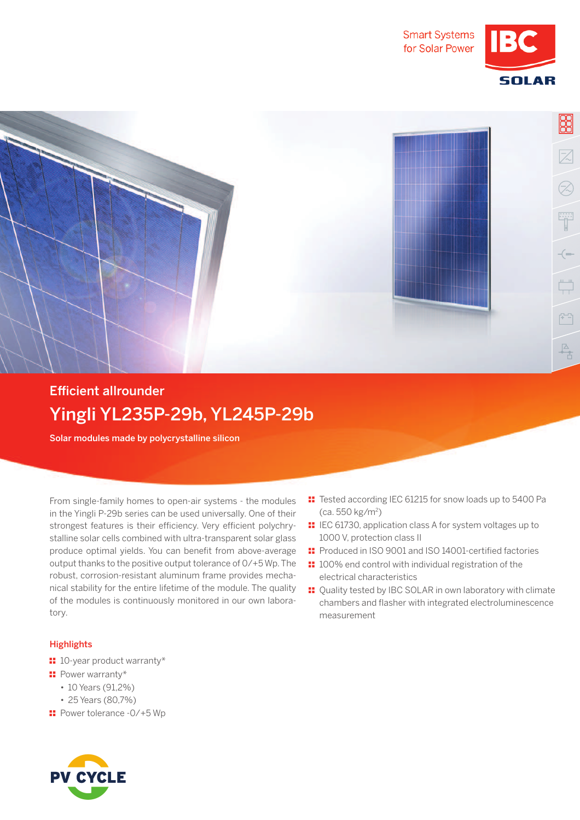





## **Efficient allrounder** Yingli YL235P-29b, YL245P-29b

Solar modules made by polycrystalline silicon

 From single-family homes to open-air systems - the modules in the Yingli P-29b series can be used universally. One of their strongest features is their efficiency. Very efficient polychrystalline solar cells combined with ultra-transparent solar glass produce optimal yields. You can benefit from above-average output thanks to the positive output tolerance of 0/+5 Wp. The robust, corrosion-resistant aluminum frame provides mechanical stability for the entire lifetime of the module. The quality of the modules is continuously monitored in our own laboratory.

## **Highlights**

- $\blacksquare$  10-year product warranty\*
- **:** Power warranty\*
	- 10 Years (91,2%)
	- 25 Years (80,7%)
- $\blacksquare$  Power tolerance -0/+5 Wp



- **II** Tested according IEC 61215 for snow loads up to 5400 Pa (ca. 550 kg/m<sup>2</sup> )
- **II** IEC 61730, application class A for system voltages up to 1000 V, protection class II
- $\textbf{F}$  Produced in ISO 9001 and ISO 14001-certified factories
- $\blacksquare$  100% end control with individual registration of the electrical characteristics
- $\blacksquare$  Quality tested by IBC SOLAR in own laboratory with climate chambers and flasher with integrated electroluminescence measurement